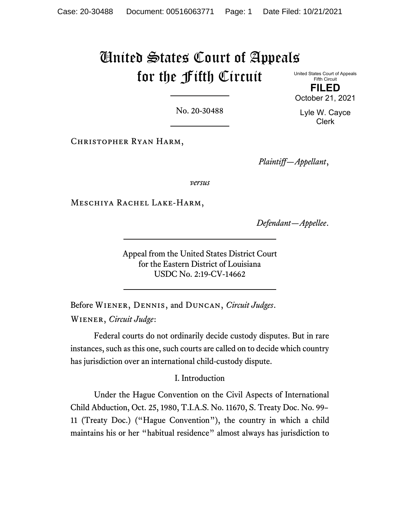# United States Court of Appeals for the Fifth Circuit United States Court of Appeals

Fifth Circuit **FILED** October 21, 2021

No. 20-30488

Christopher Ryan Harm,

*Plaintiff—Appellant*,

*versus*

Meschiya Rachel Lake-Harm,

*Defendant—Appellee*.

Appeal from the United States District Court for the Eastern District of Louisiana USDC No. 2:19-CV-14662

Before Wiener, Dennis, and Duncan, *Circuit Judges*. Wiener, *Circuit Judge*:

Federal courts do not ordinarily decide custody disputes. But in rare instances, such as this one, such courts are called on to decide which country has jurisdiction over an international child-custody dispute.

### I. Introduction

Under the Hague Convention on the Civil Aspects of International Child Abduction, Oct. 25, 1980, T.I.A.S. No. 11670, S. Treaty Doc. No. 99– 11 (Treaty Doc.) ("Hague Convention"), the country in which a child maintains his or her "habitual residence" almost always has jurisdiction to

Lyle W. Cayce Clerk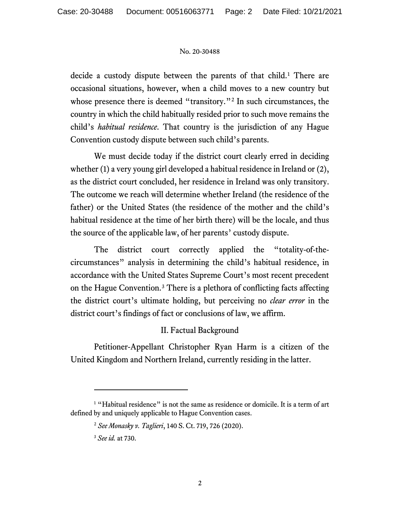decide a custody dispute between the parents of that child.<sup>[1](#page-1-0)</sup> There are occasional situations, however, when a child moves to a new country but whose presence there is deemed "transitory."<sup>[2](#page-1-1)</sup> In such circumstances, the country in which the child habitually resided prior to such move remains the child's *habitual residence*. That country is the jurisdiction of any Hague Convention custody dispute between such child's parents.

We must decide today if the district court clearly erred in deciding whether (1) a very young girl developed a habitual residence in Ireland or (2), as the district court concluded, her residence in Ireland was only transitory. The outcome we reach will determine whether Ireland (the residence of the father) or the United States (the residence of the mother and the child's habitual residence at the time of her birth there) will be the locale, and thus the source of the applicable law, of her parents' custody dispute.

The district court correctly applied the "totality-of-thecircumstances" analysis in determining the child's habitual residence, in accordance with the United States Supreme Court's most recent precedent on the Hague Convention.[3](#page-1-2) There is a plethora of conflicting facts affecting the district court's ultimate holding, but perceiving no *clear error* in the district court's findings of fact or conclusions of law, we affirm.

### II. Factual Background

Petitioner-Appellant Christopher Ryan Harm is a citizen of the United Kingdom and Northern Ireland, currently residing in the latter.

<span id="page-1-2"></span><span id="page-1-1"></span><span id="page-1-0"></span><sup>&</sup>lt;sup>1</sup> "Habitual residence" is not the same as residence or domicile. It is a term of art defined by and uniquely applicable to Hague Convention cases.

<sup>2</sup> *See Monasky v. Taglieri*, 140 S. Ct. 719, 726 (2020).

<sup>3</sup> *See id.* at 730.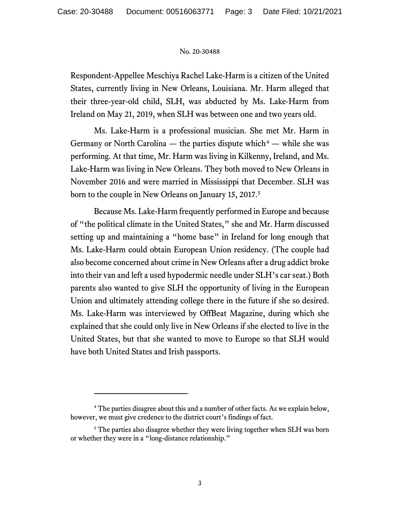Respondent-Appellee Meschiya Rachel Lake-Harm is a citizen of the United States, currently living in New Orleans, Louisiana. Mr. Harm alleged that their three-year-old child, SLH, was abducted by Ms. Lake-Harm from Ireland on May 21, 2019, when SLH was between one and two years old.

Ms. Lake-Harm is a professional musician. She met Mr. Harm in Germany or North Carolina — the parties dispute which<sup>[4](#page-2-0)</sup> — while she was performing. At that time, Mr. Harm was living in Kilkenny, Ireland, and Ms. Lake-Harm was living in New Orleans. They both moved to New Orleans in November 2016 and were married in Mississippi that December. SLH was born to the couple in New Orleans on January 15, 2017. [5](#page-2-1)

Because Ms. Lake-Harm frequently performed in Europe and because of "the political climate in the United States," she and Mr. Harm discussed setting up and maintaining a "home base" in Ireland for long enough that Ms. Lake-Harm could obtain European Union residency. (The couple had also become concerned about crime in New Orleans after a drug addict broke into their van and left a used hypodermic needle under SLH's car seat.) Both parents also wanted to give SLH the opportunity of living in the European Union and ultimately attending college there in the future if she so desired. Ms. Lake-Harm was interviewed by OffBeat Magazine, during which she explained that she could only live in New Orleans if she elected to live in the United States, but that she wanted to move to Europe so that SLH would have both United States and Irish passports.

<span id="page-2-0"></span><sup>&</sup>lt;sup>4</sup> The parties disagree about this and a number of other facts. As we explain below, however, we must give credence to the district court's findings of fact.

<span id="page-2-1"></span><sup>&</sup>lt;sup>5</sup> The parties also disagree whether they were living together when SLH was born or whether they were in a "long-distance relationship."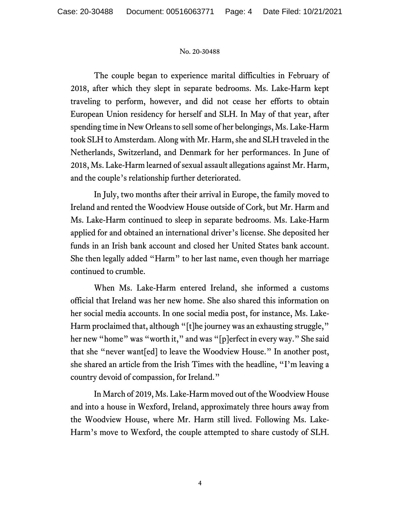The couple began to experience marital difficulties in February of 2018, after which they slept in separate bedrooms. Ms. Lake-Harm kept traveling to perform, however, and did not cease her efforts to obtain European Union residency for herself and SLH. In May of that year, after spending time in New Orleans to sell some of her belongings, Ms. Lake-Harm took SLH to Amsterdam. Along with Mr. Harm, she and SLH traveled in the Netherlands, Switzerland, and Denmark for her performances. In June of 2018, Ms. Lake-Harm learned of sexual assault allegations against Mr. Harm, and the couple's relationship further deteriorated.

In July, two months after their arrival in Europe, the family moved to Ireland and rented the Woodview House outside of Cork, but Mr. Harm and Ms. Lake-Harm continued to sleep in separate bedrooms. Ms. Lake-Harm applied for and obtained an international driver's license. She deposited her funds in an Irish bank account and closed her United States bank account. She then legally added "Harm" to her last name, even though her marriage continued to crumble.

When Ms. Lake-Harm entered Ireland, she informed a customs official that Ireland was her new home. She also shared this information on her social media accounts. In one social media post, for instance, Ms. Lake-Harm proclaimed that, although "[t]he journey was an exhausting struggle," her new "home" was "worth it," and was "[p]erfect in every way." She said that she "never want[ed] to leave the Woodview House." In another post, she shared an article from the Irish Times with the headline, "I'm leaving a country devoid of compassion, for Ireland."

In March of 2019, Ms. Lake-Harm moved out of the Woodview House and into a house in Wexford, Ireland, approximately three hours away from the Woodview House, where Mr. Harm still lived. Following Ms. Lake-Harm's move to Wexford, the couple attempted to share custody of SLH.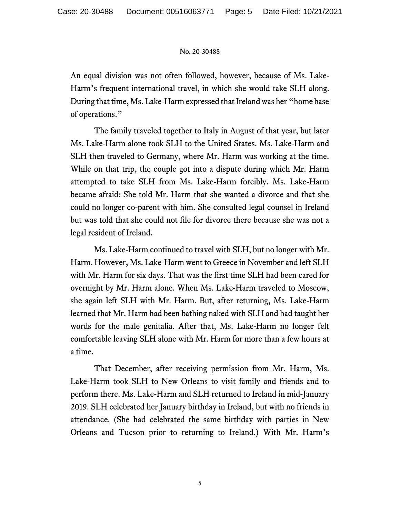An equal division was not often followed, however, because of Ms. Lake-Harm's frequent international travel, in which she would take SLH along. During that time, Ms. Lake-Harm expressed that Ireland was her "home base of operations."

The family traveled together to Italy in August of that year, but later Ms. Lake-Harm alone took SLH to the United States. Ms. Lake-Harm and SLH then traveled to Germany, where Mr. Harm was working at the time. While on that trip, the couple got into a dispute during which Mr. Harm attempted to take SLH from Ms. Lake-Harm forcibly. Ms. Lake-Harm became afraid: She told Mr. Harm that she wanted a divorce and that she could no longer co-parent with him. She consulted legal counsel in Ireland but was told that she could not file for divorce there because she was not a legal resident of Ireland.

Ms. Lake-Harm continued to travel with SLH, but no longer with Mr. Harm. However, Ms. Lake-Harm went to Greece in November and left SLH with Mr. Harm for six days. That was the first time SLH had been cared for overnight by Mr. Harm alone. When Ms. Lake-Harm traveled to Moscow, she again left SLH with Mr. Harm. But, after returning, Ms. Lake-Harm learned that Mr. Harm had been bathing naked with SLH and had taught her words for the male genitalia. After that, Ms. Lake-Harm no longer felt comfortable leaving SLH alone with Mr. Harm for more than a few hours at a time.

That December, after receiving permission from Mr. Harm, Ms. Lake-Harm took SLH to New Orleans to visit family and friends and to perform there. Ms. Lake-Harm and SLH returned to Ireland in mid-January 2019. SLH celebrated her January birthday in Ireland, but with no friends in attendance. (She had celebrated the same birthday with parties in New Orleans and Tucson prior to returning to Ireland.) With Mr. Harm's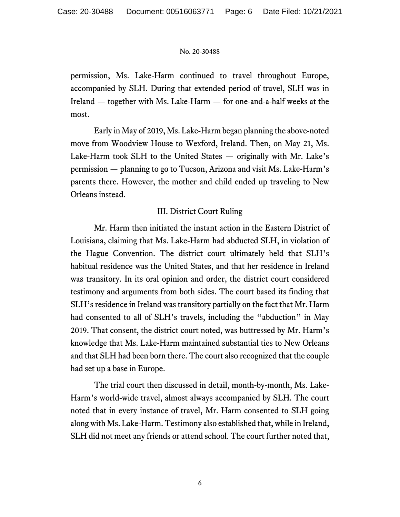permission, Ms. Lake-Harm continued to travel throughout Europe, accompanied by SLH. During that extended period of travel, SLH was in Ireland — together with Ms. Lake-Harm — for one-and-a-half weeks at the most.

Early in May of 2019, Ms. Lake-Harm began planning the above-noted move from Woodview House to Wexford, Ireland. Then, on May 21, Ms. Lake-Harm took SLH to the United States — originally with Mr. Lake's permission — planning to go to Tucson, Arizona and visit Ms. Lake-Harm's parents there. However, the mother and child ended up traveling to New Orleans instead.

# III. District Court Ruling

Mr. Harm then initiated the instant action in the Eastern District of Louisiana, claiming that Ms. Lake-Harm had abducted SLH, in violation of the Hague Convention. The district court ultimately held that SLH's habitual residence was the United States, and that her residence in Ireland was transitory. In its oral opinion and order, the district court considered testimony and arguments from both sides. The court based its finding that SLH's residence in Ireland was transitory partially on the fact that Mr. Harm had consented to all of SLH's travels, including the "abduction" in May 2019. That consent, the district court noted, was buttressed by Mr. Harm's knowledge that Ms. Lake-Harm maintained substantial ties to New Orleans and that SLH had been born there. The court also recognized that the couple had set up a base in Europe.

The trial court then discussed in detail, month-by-month, Ms. Lake-Harm's world-wide travel, almost always accompanied by SLH. The court noted that in every instance of travel, Mr. Harm consented to SLH going along with Ms. Lake-Harm. Testimony also established that, while in Ireland, SLH did not meet any friends or attend school. The court further noted that,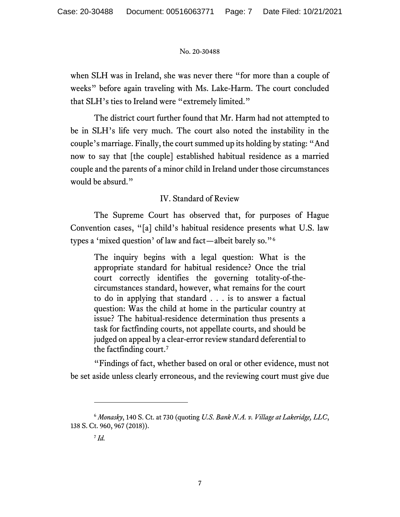when SLH was in Ireland, she was never there "for more than a couple of weeks" before again traveling with Ms. Lake-Harm. The court concluded that SLH's ties to Ireland were "extremely limited."

The district court further found that Mr. Harm had not attempted to be in SLH's life very much. The court also noted the instability in the couple's marriage. Finally, the court summed up its holding by stating: "And now to say that [the couple] established habitual residence as a married couple and the parents of a minor child in Ireland under those circumstances would be absurd."

# IV. Standard of Review

The Supreme Court has observed that, for purposes of Hague Convention cases, "[a] child's habitual residence presents what U.S. law types a 'mixed question' of law and fact—albeit barely so."[6](#page-6-0)

The inquiry begins with a legal question: What is the appropriate standard for habitual residence? Once the trial court correctly identifies the governing totality-of-thecircumstances standard, however, what remains for the court to do in applying that standard . . . is to answer a factual question: Was the child at home in the particular country at issue? The habitual-residence determination thus presents a task for factfinding courts, not appellate courts, and should be judged on appeal by a clear-error review standard deferential to the factfinding court.[7](#page-6-1)

"Findings of fact, whether based on oral or other evidence, must not be set aside unless clearly erroneous, and the reviewing court must give due

<span id="page-6-1"></span><span id="page-6-0"></span><sup>6</sup> *Monasky*, 140 S. Ct. at 730 (quoting *U.S. Bank N.A. v. Village at Lakeridge, LLC*, 138 S. Ct. 960, 967 (2018)).

 $^7$  *Id.*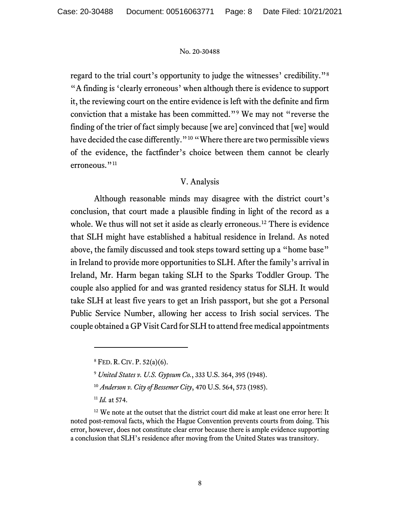regard to the trial court's opportunity to judge the witnesses' credibility."[8](#page-7-0) "A finding is 'clearly erroneous' when although there is evidence to support it, the reviewing court on the entire evidence is left with the definite and firm conviction that a mistake has been committed."[9](#page-7-1) We may not "reverse the finding of the trier of fact simply because [we are] convinced that [we] would have decided the case differently."<sup>[10](#page-7-2)</sup> "Where there are two permissible views of the evidence, the factfinder's choice between them cannot be clearly erroneous."<sup>[11](#page-7-3)</sup>

## V. Analysis

Although reasonable minds may disagree with the district court's conclusion, that court made a plausible finding in light of the record as a whole. We thus will not set it aside as clearly erroneous.<sup>[12](#page-7-4)</sup> There is evidence that SLH might have established a habitual residence in Ireland. As noted above, the family discussed and took steps toward setting up a "home base" in Ireland to provide more opportunities to SLH. After the family's arrival in Ireland, Mr. Harm began taking SLH to the Sparks Toddler Group. The couple also applied for and was granted residency status for SLH. It would take SLH at least five years to get an Irish passport, but she got a Personal Public Service Number, allowing her access to Irish social services. The couple obtained a GP Visit Card for SLH to attend free medical appointments

<sup>8</sup> FED. R. CIV. P. 52(a)(6).

<sup>9</sup> *United States v. U.S. Gypsum Co.*, 333 U.S. 364, 395 (1948).

<sup>10</sup> *Anderson v. City of Bessemer City*, 470 U.S. 564, 573 (1985).

<sup>11</sup> *Id.* at 574.

<span id="page-7-4"></span><span id="page-7-3"></span><span id="page-7-2"></span><span id="page-7-1"></span><span id="page-7-0"></span><sup>&</sup>lt;sup>12</sup> We note at the outset that the district court did make at least one error here: It noted post-removal facts, which the Hague Convention prevents courts from doing. This error, however, does not constitute clear error because there is ample evidence supporting a conclusion that SLH's residence after moving from the United States was transitory.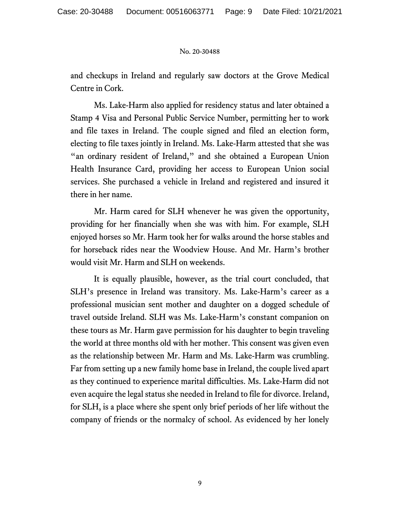and checkups in Ireland and regularly saw doctors at the Grove Medical Centre in Cork.

Ms. Lake-Harm also applied for residency status and later obtained a Stamp 4 Visa and Personal Public Service Number, permitting her to work and file taxes in Ireland. The couple signed and filed an election form, electing to file taxes jointly in Ireland. Ms. Lake-Harm attested that she was "an ordinary resident of Ireland," and she obtained a European Union Health Insurance Card, providing her access to European Union social services. She purchased a vehicle in Ireland and registered and insured it there in her name.

Mr. Harm cared for SLH whenever he was given the opportunity, providing for her financially when she was with him. For example, SLH enjoyed horses so Mr. Harm took her for walks around the horse stables and for horseback rides near the Woodview House. And Mr. Harm's brother would visit Mr. Harm and SLH on weekends.

It is equally plausible, however, as the trial court concluded, that SLH's presence in Ireland was transitory. Ms. Lake-Harm's career as a professional musician sent mother and daughter on a dogged schedule of travel outside Ireland. SLH was Ms. Lake-Harm's constant companion on these tours as Mr. Harm gave permission for his daughter to begin traveling the world at three months old with her mother. This consent was given even as the relationship between Mr. Harm and Ms. Lake-Harm was crumbling. Far from setting up a new family home base in Ireland, the couple lived apart as they continued to experience marital difficulties. Ms. Lake-Harm did not even acquire the legal status she needed in Ireland to file for divorce. Ireland, for SLH, is a place where she spent only brief periods of her life without the company of friends or the normalcy of school. As evidenced by her lonely